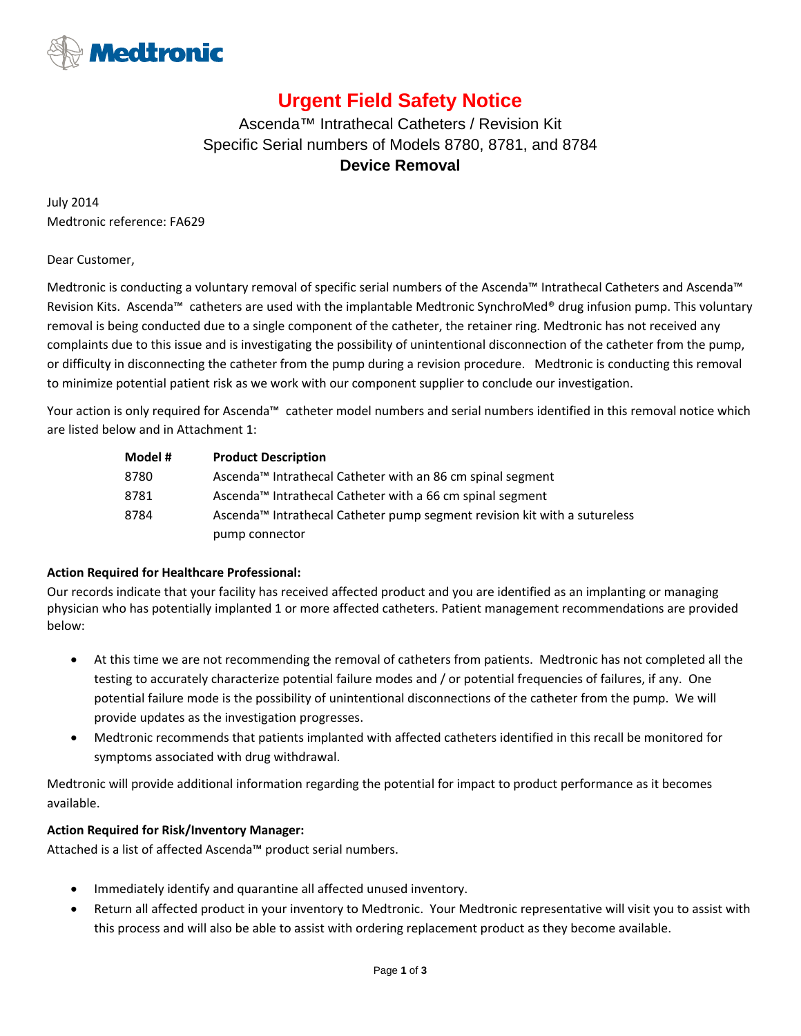

# **Urgent Field Safety Notice**

## Ascenda™ Intrathecal Catheters / Revision Kit Specific Serial numbers of Models 8780, 8781, and 8784 **Device Removal**

July 2014 Medtronic reference: FA629

#### Dear Customer,

Medtronic is conducting a voluntary removal of specific serial numbers of the Ascenda™ Intrathecal Catheters and Ascenda™ Revision Kits. Ascenda™ catheters are used with the implantable Medtronic SynchroMed® drug infusion pump. This voluntary removal is being conducted due to a single component of the catheter, the retainer ring. Medtronic has not received any complaints due to this issue and is investigating the possibility of unintentional disconnection of the catheter from the pump, or difficulty in disconnecting the catheter from the pump during a revision procedure. Medtronic is conducting this removal to minimize potential patient risk as we work with our component supplier to conclude our investigation.

Your action is only required for Ascenda™ catheter model numbers and serial numbers identified in this removal notice which are listed below and in Attachment 1:

| Model # | <b>Product Description</b>                                                |  |  |  |  |  |
|---------|---------------------------------------------------------------------------|--|--|--|--|--|
| 8780    | Ascenda™ Intrathecal Catheter with an 86 cm spinal segment                |  |  |  |  |  |
| 8781    | Ascenda™ Intrathecal Catheter with a 66 cm spinal segment                 |  |  |  |  |  |
| 8784    | Ascenda™ Intrathecal Catheter pump segment revision kit with a sutureless |  |  |  |  |  |
|         | pump connector                                                            |  |  |  |  |  |

#### **Action Required for Healthcare Professional:**

Our records indicate that your facility has received affected product and you are identified as an implanting or managing physician who has potentially implanted 1 or more affected catheters. Patient management recommendations are provided below:

- At this time we are not recommending the removal of catheters from patients. Medtronic has not completed all the testing to accurately characterize potential failure modes and / or potential frequencies of failures, if any. One potential failure mode is the possibility of unintentional disconnections of the catheter from the pump. We will provide updates as the investigation progresses.
- Medtronic recommends that patients implanted with affected catheters identified in this recall be monitored for symptoms associated with drug withdrawal.

Medtronic will provide additional information regarding the potential for impact to product performance as it becomes available.

#### **Action Required for Risk/Inventory Manager:**

Attached is a list of affected Ascenda™ product serial numbers.

- Immediately identify and quarantine all affected unused inventory.
- Return all affected product in your inventory to Medtronic. Your Medtronic representative will visit you to assist with this process and will also be able to assist with ordering replacement product as they become available.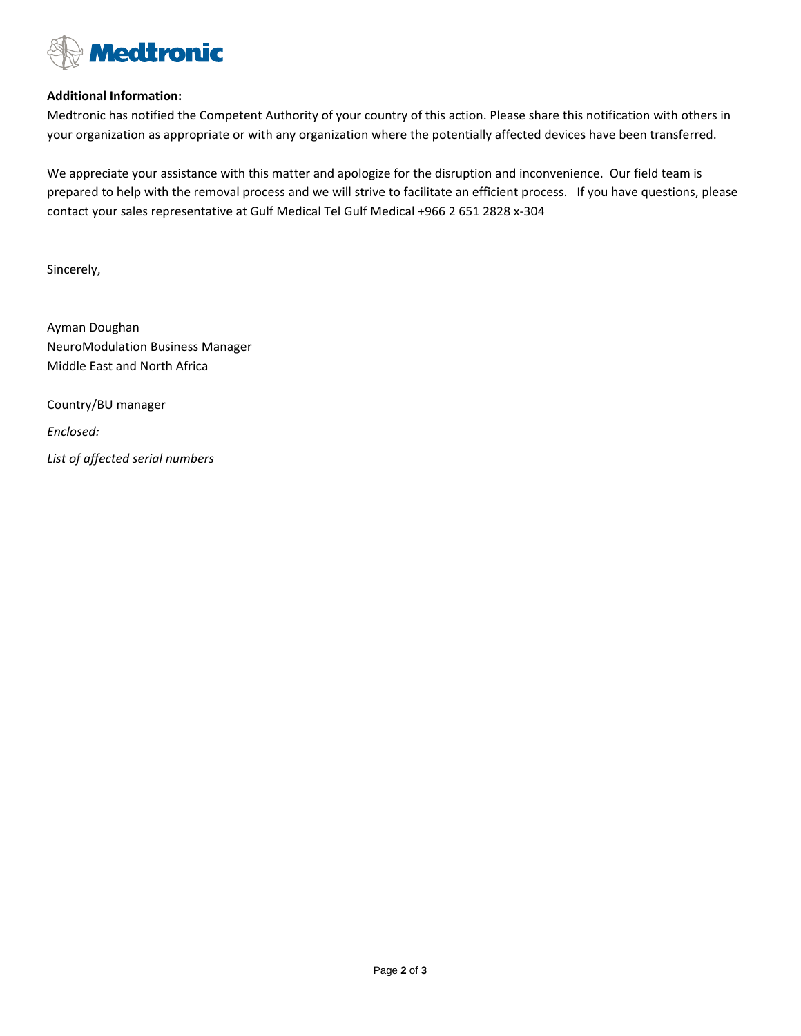

#### **Additional Information:**

Medtronic has notified the Competent Authority of your country of this action. Please share this notification with others in your organization as appropriate or with any organization where the potentially affected devices have been transferred.

We appreciate your assistance with this matter and apologize for the disruption and inconvenience. Our field team is prepared to help with the removal process and we will strive to facilitate an efficient process. If you have questions, please contact your sales representative at Gulf Medical Tel Gulf Medical +966 2 651 2828 x‐304

Sincerely,

Ayman Doughan NeuroModulation Business Manager Middle East and North Africa

Country/BU manager *Enclosed:*

*List of affected serial numbers*